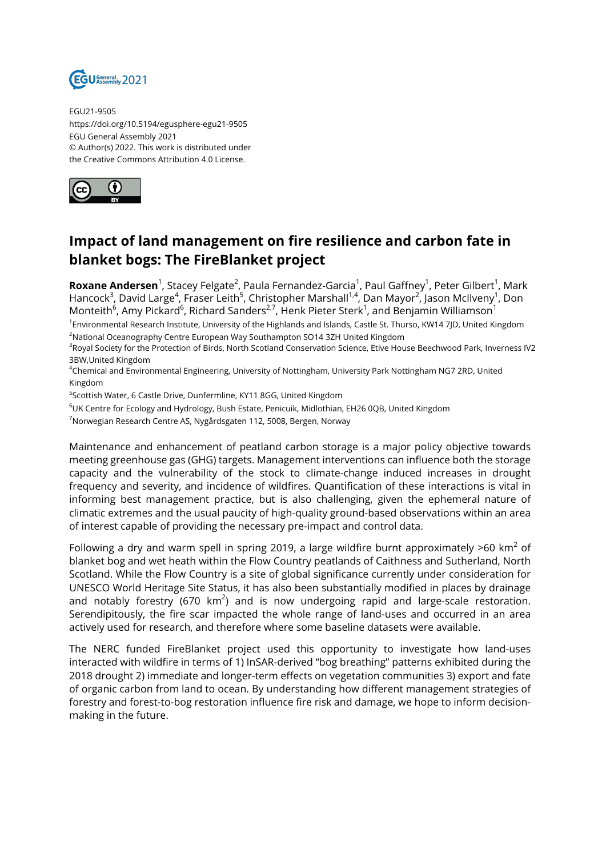

EGU21-9505 https://doi.org/10.5194/egusphere-egu21-9505 EGU General Assembly 2021 © Author(s) 2022. This work is distributed under the Creative Commons Attribution 4.0 License.



## **Impact of land management on fire resilience and carbon fate in blanket bogs: The FireBlanket project**

**Roxane Andersen**<sup>1</sup>, Stacey Felgate<sup>2</sup>, Paula Fernandez-Garcia<sup>1</sup>, Paul Gaffney<sup>1</sup>, Peter Gilbert<sup>1</sup>, Mark Hancock<sup>3</sup>, David Large<sup>4</sup>, Fraser Leith<sup>5</sup>, Christopher Marshall<sup>1,4</sup>, Dan Mayor<sup>2</sup>, Jason McIlveny<sup>1</sup>, Don Monteith $^6$ , Amy Pickard $^6$ , Richard Sanders $^{2,7}$ , Henk Pieter Sterk $^1$ , and Benjamin Williamson $^1$ <sup>1</sup>Environmental Research Institute, University of the Highlands and Islands, Castle St. Thurso, KW14 7JD, United Kingdom

<sup>2</sup>National Oceanography Centre European Way Southampton SO14 3ZH United Kingdom

<sup>3</sup>Royal Society for the Protection of Birds, North Scotland Conservation Science, Etive House Beechwood Park, Inverness IV2 3BW,United Kingdom

<sup>4</sup>Chemical and Environmental Engineering, University of Nottingham, University Park Nottingham NG7 2RD, United Kingdom

<sup>5</sup>Scottish Water, 6 Castle Drive, Dunfermline, KY11 8GG, United Kingdom

 $6$ UK Centre for Ecology and Hydrology, Bush Estate, Penicuik, Midlothian, EH26 0QB, United Kingdom

<sup>7</sup>Norwegian Research Centre AS, Nygårdsgaten 112, 5008, Bergen, Norway

Maintenance and enhancement of peatland carbon storage is a major policy objective towards meeting greenhouse gas (GHG) targets. Management interventions can influence both the storage capacity and the vulnerability of the stock to climate-change induced increases in drought frequency and severity, and incidence of wildfires. Quantification of these interactions is vital in informing best management practice, but is also challenging, given the ephemeral nature of climatic extremes and the usual paucity of high-quality ground-based observations within an area of interest capable of providing the necessary pre-impact and control data.

Following a dry and warm spell in spring 2019, a large wildfire burnt approximately >60 km<sup>2</sup> of blanket bog and wet heath within the Flow Country peatlands of Caithness and Sutherland, North Scotland. While the Flow Country is a site of global significance currently under consideration for UNESCO World Heritage Site Status, it has also been substantially modified in places by drainage and notably forestry (670 km<sup>2</sup>) and is now undergoing rapid and large-scale restoration. Serendipitously, the fire scar impacted the whole range of land-uses and occurred in an area actively used for research, and therefore where some baseline datasets were available.

The NERC funded FireBlanket project used this opportunity to investigate how land-uses interacted with wildfire in terms of 1) InSAR-derived "bog breathing" patterns exhibited during the 2018 drought 2) immediate and longer-term effects on vegetation communities 3) export and fate of organic carbon from land to ocean. By understanding how different management strategies of forestry and forest-to-bog restoration influence fire risk and damage, we hope to inform decisionmaking in the future.